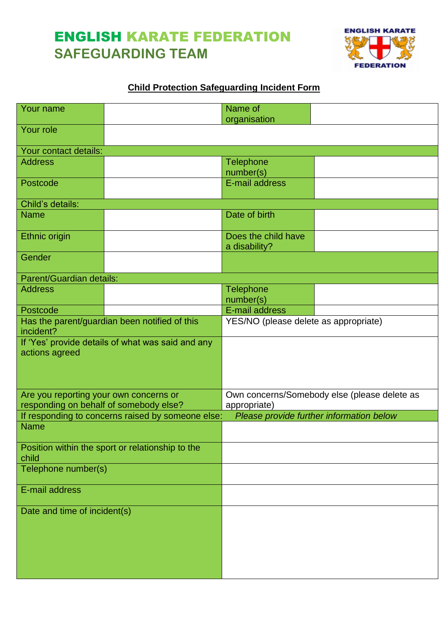## ENGLISH KARATE FEDERATION **SAFEGUARDING TEAM**



## **Child Protection Safeguarding Incident Form**

| Your name                                                           |                                               | Name of                                                  |  |
|---------------------------------------------------------------------|-----------------------------------------------|----------------------------------------------------------|--|
| Your role                                                           |                                               | organisation                                             |  |
|                                                                     |                                               |                                                          |  |
| Your contact details:                                               |                                               |                                                          |  |
| <b>Address</b>                                                      |                                               | <b>Telephone</b><br>number(s)                            |  |
| Postcode                                                            |                                               | E-mail address                                           |  |
| Child's details:                                                    |                                               |                                                          |  |
| <b>Name</b>                                                         |                                               | Date of birth                                            |  |
| Ethnic origin                                                       |                                               | Does the child have<br>a disability?                     |  |
| Gender                                                              |                                               |                                                          |  |
| Parent/Guardian details:                                            |                                               |                                                          |  |
| <b>Address</b>                                                      |                                               | <b>Telephone</b>                                         |  |
| Postcode                                                            |                                               | number(s)<br>E-mail address                              |  |
|                                                                     | Has the parent/guardian been notified of this | YES/NO (please delete as appropriate)                    |  |
| incident?                                                           |                                               |                                                          |  |
| If 'Yes' provide details of what was said and any<br>actions agreed |                                               |                                                          |  |
|                                                                     |                                               |                                                          |  |
| Are you reporting your own concerns or                              |                                               | Own concerns/Somebody else (please delete as             |  |
| responding on behalf of somebody else?                              |                                               | appropriate)<br>Please provide further information below |  |
| If responding to concerns raised by someone else:<br><b>Name</b>    |                                               |                                                          |  |
|                                                                     |                                               |                                                          |  |
| Position within the sport or relationship to the<br>child           |                                               |                                                          |  |
| Telephone number(s)                                                 |                                               |                                                          |  |
| E-mail address                                                      |                                               |                                                          |  |
| Date and time of incident(s)                                        |                                               |                                                          |  |
|                                                                     |                                               |                                                          |  |
|                                                                     |                                               |                                                          |  |
|                                                                     |                                               |                                                          |  |
|                                                                     |                                               |                                                          |  |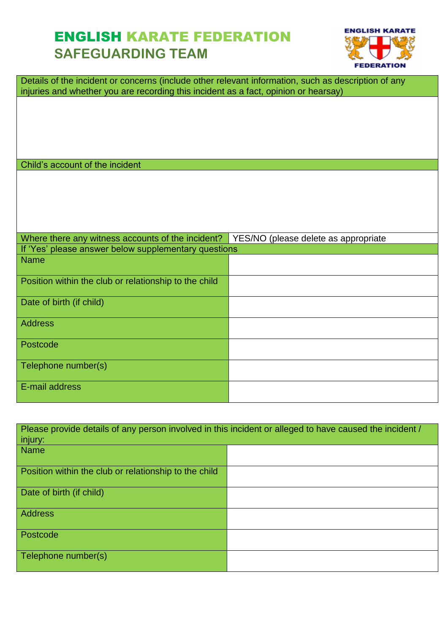## ENGLISH KARATE FEDERATION **SAFEGUARDING TEAM**



| Details of the incident or concerns (include other relevant information, such as description of any<br>injuries and whether you are recording this incident as a fact, opinion or hearsay) |                                      |  |  |
|--------------------------------------------------------------------------------------------------------------------------------------------------------------------------------------------|--------------------------------------|--|--|
|                                                                                                                                                                                            |                                      |  |  |
|                                                                                                                                                                                            |                                      |  |  |
|                                                                                                                                                                                            |                                      |  |  |
| Child's account of the incident                                                                                                                                                            |                                      |  |  |
|                                                                                                                                                                                            |                                      |  |  |
|                                                                                                                                                                                            |                                      |  |  |
|                                                                                                                                                                                            |                                      |  |  |
|                                                                                                                                                                                            |                                      |  |  |
|                                                                                                                                                                                            |                                      |  |  |
| Where there any witness accounts of the incident?                                                                                                                                          | YES/NO (please delete as appropriate |  |  |
| If 'Yes' please answer below supplementary questions                                                                                                                                       |                                      |  |  |
| <b>Name</b>                                                                                                                                                                                |                                      |  |  |
| Position within the club or relationship to the child                                                                                                                                      |                                      |  |  |
| Date of birth (if child)                                                                                                                                                                   |                                      |  |  |
| <b>Address</b>                                                                                                                                                                             |                                      |  |  |
| Postcode                                                                                                                                                                                   |                                      |  |  |
| Telephone number(s)                                                                                                                                                                        |                                      |  |  |
| E-mail address                                                                                                                                                                             |                                      |  |  |

| Please provide details of any person involved in this incident or alleged to have caused the incident / |  |  |  |
|---------------------------------------------------------------------------------------------------------|--|--|--|
| injury:                                                                                                 |  |  |  |
| <b>Name</b>                                                                                             |  |  |  |
| Position within the club or relationship to the child                                                   |  |  |  |
| Date of birth (if child)                                                                                |  |  |  |
| <b>Address</b>                                                                                          |  |  |  |
| Postcode                                                                                                |  |  |  |
| Telephone number(s)                                                                                     |  |  |  |